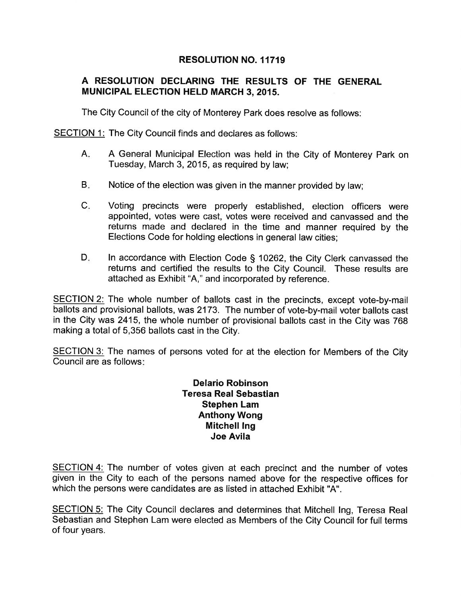## RESOLUTION NO. 11719

## A RESOLUTION DECLARING THE RESULTS OF THE GENERAL MUNICIPAL ELECTION HELD MARCH 3,2015.

The City Council of the city of Monterey Park does resolve as follows:

SECTION 1: The City Council finds and declares as follows:

- A General Municipal Election was held in the City of Monterey Park on Tuesday, March 3,2015, as required by law;  $A<sub>i</sub>$
- Notice of the election was given in the manner provided by law;  $B<sub>z</sub>$
- Voting precincts were properly established, election officers were appointed, votes were cast, votes were received and canvassed and the returns made and declared in the time and manner required by the Elections Code for holding elections in general law cities;  $C<sub>i</sub>$
- ln accordance with Election Code S 10262, the City Clerk canvassed the returns and certified the results to the City Council. These results are attached as Exhibit "A," and incorporated by reference.  $D_i$

SECTION 2: The whole number of ballots cast in the precincts, except vote-by-mail ballots and provisional ballots, was 2173. The number of vote-by-mail voter ballots cast in the City was 2415, the whole number of provisional ballots cast in the City was 768 making a total of 5,356 ballots cast in the City.

SECTION 3: The names of persons voted for at the election for Members of the City Council are as follows

> Delario Robinson Teresa Real Sebastian Stephen Lam Anthony Wong Mitchell lng Joe Avila

SECTION 4: The number of votes given at each precinct and the number of votes given in the City to each of the persons named above for the respective offíces for which the persons were candidates are as listed in attached Exhibit "A".

SECTION 5: The City Council declares and determines that Mitchell lng, Teresa Real Sebastian and Stephen Lam were elected as Members of the City Council for full terms of four years.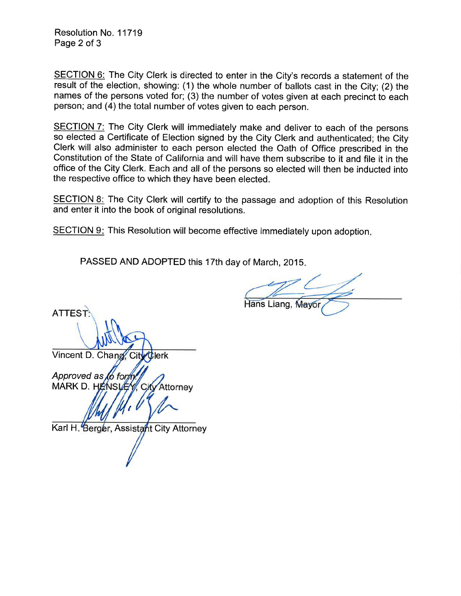Resolution No. 11719 Page 2 of 3

SECTION 6: The City Clerk is directed to enter in the City's records a statement of the result of the election, showing: (1) the whole number of ballots cast in the City; (2) the names of the persons voted for; (3) the number of votes given at each precinct to each person; and (4) the total number of votes given to each person.

SECTION 7: The City Clerk will immediately make and deliver to each of the persons so elected a Certificate of Election signed by the City Clerk and authenticated; the City Clerk will also administer to each person elected the Oath of Office prescribed in the Constitution of the State of California and will have them subscribe to it and file it in the office of the City Clerk. Each and all of the persons so elected will then be inducted into the respective office to which they have been elected.

SECTION 8: The City Clerk will certify to the passage and adoption of this Resolution and enter it into the book of original resolutions.

SECTION 9: This Resolution will become effective immediately upon adoption.

PASSED AND ADOPTED this 17th day of March, 2015

Hans Liang, Mayo

**ATTEST** Vincent D. Chang, City Clerk Approved as MARK D. HE Attorney I Karl H. *Berge*r, Assista*f*ht City Attorney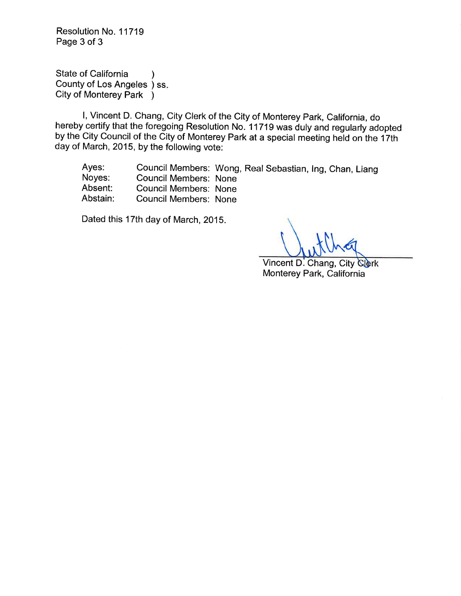Resolution No. 11719 Page 3 of 3

State of California County of Los Angeles ) SSCity of Monterey Park ) )

l, Vincent D. Chang, City Clerk of the City of Monterey Park, California, do hereby certify that the foregoing Resolution No. I 1719 was duly and regularly adopted by the City Council of the City of Monterey Park at a special meeting held on the 17th day of March, 2015, by the following vote:

Ayes: Council Members: Wong, Real Sebastian, Ing, Chan, Liang<br>
Noyes: Council Members: None<br>
Absent: Council Members: None<br>
Abstain: Council Members: None

Dated this 17th day of March, 2015.

Vincent D. Chang, City Clerk Monterey Park, California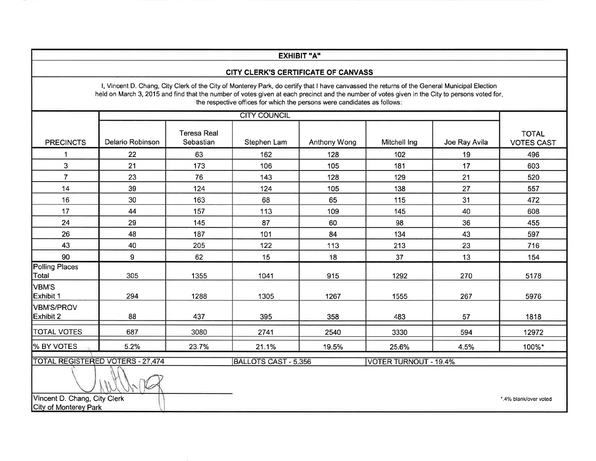| <b>EXHIBIT "A"</b>                                                             |                                                                                                                                                |                                 |                                                                                                                                                                                                                          |              |                              |               |                                   |  |
|--------------------------------------------------------------------------------|------------------------------------------------------------------------------------------------------------------------------------------------|---------------------------------|--------------------------------------------------------------------------------------------------------------------------------------------------------------------------------------------------------------------------|--------------|------------------------------|---------------|-----------------------------------|--|
| CITY CLERK'S CERTIFICATE OF CANVASS                                            |                                                                                                                                                |                                 |                                                                                                                                                                                                                          |              |                              |               |                                   |  |
|                                                                                | held on March 3, 2015 and find that the number of votes given at each precinct and the number of votes given in the City to persons voted for, |                                 | I, Vincent D. Chang, City Clerk of the City of Monterey Park, do certify that I have canvassed the returns of the General Municipal Election<br>the respective offices for which the persons were candidates as follows: |              |                              |               |                                   |  |
|                                                                                |                                                                                                                                                | <b>CITY COUNCIL</b>             |                                                                                                                                                                                                                          |              |                              |               |                                   |  |
| <b>PRECINCTS</b>                                                               | Delario Robinson                                                                                                                               | <b>Teresa Real</b><br>Sebastian | Stephen Lam                                                                                                                                                                                                              | Anthony Wong | Mitchell Ing                 | Joe Ray Avila | <b>TOTAL</b><br><b>VOTES CAST</b> |  |
| 1                                                                              | 22                                                                                                                                             | 63                              | 162                                                                                                                                                                                                                      | 128          | 102                          | 19            | 496                               |  |
| 3                                                                              | 21                                                                                                                                             | 173                             | 106                                                                                                                                                                                                                      | 105          | 181                          | 17            | 603                               |  |
| $\overline{7}$                                                                 | 23                                                                                                                                             | 76                              | 143                                                                                                                                                                                                                      | 128          | 129                          | 21            | 520                               |  |
| 14                                                                             | 39                                                                                                                                             | 124                             | 124                                                                                                                                                                                                                      | 105          | 138                          | 27            | 557                               |  |
| 16                                                                             | 30                                                                                                                                             | 163                             | 68                                                                                                                                                                                                                       | 65           | 115                          | 31            | 472                               |  |
| 17                                                                             | 44                                                                                                                                             | 157                             | 113                                                                                                                                                                                                                      | 109          | 145                          | 40            | 608                               |  |
| 24                                                                             | 29                                                                                                                                             | 145                             | 87                                                                                                                                                                                                                       | 60           | 98                           | 36            | 455                               |  |
| 26                                                                             | 48                                                                                                                                             | 187                             | 101                                                                                                                                                                                                                      | 84           | 134                          | 43            | 597                               |  |
| 43                                                                             | 40                                                                                                                                             | 205                             | 122                                                                                                                                                                                                                      | 113          | 213                          | 23            | 716                               |  |
| 90                                                                             | 9                                                                                                                                              | 62                              | 15                                                                                                                                                                                                                       | 18           | 37                           | 13            | 154                               |  |
| Polling Places<br>Total                                                        | 305                                                                                                                                            | 1355                            | 1041                                                                                                                                                                                                                     | 915          | 1292                         | 270           | 5178                              |  |
| VBM'S<br>Exhibit 1                                                             | 294                                                                                                                                            | 1288                            | 1305                                                                                                                                                                                                                     | 1267         | 1555                         | 267           | 5976                              |  |
| VBM'S/PROV<br>Exhibit 2                                                        | 88                                                                                                                                             | 437                             | 395                                                                                                                                                                                                                      | 358          | 483                          | 57            | 1818                              |  |
| <b>TOTAL VOTES</b>                                                             | 687                                                                                                                                            | 3080                            | 2741                                                                                                                                                                                                                     | 2540         | 3330                         | 594           | 12972                             |  |
| % BY VOTES                                                                     | 5.2%                                                                                                                                           | 23.7%                           | 21.1%                                                                                                                                                                                                                    | 19.5%        | 25.6%                        | 4.5%          | 100%*                             |  |
|                                                                                | <b>TOTAL REGISTERED VOTERS - 27,474</b>                                                                                                        |                                 | <b>BALLOTS CAST - 5,356</b>                                                                                                                                                                                              |              | <b>VOTER TURNOUT - 19.4%</b> |               |                                   |  |
| Vincent D. Chang, City Clerk<br>*.4% blank/over voted<br>City of Monterey Park |                                                                                                                                                |                                 |                                                                                                                                                                                                                          |              |                              |               |                                   |  |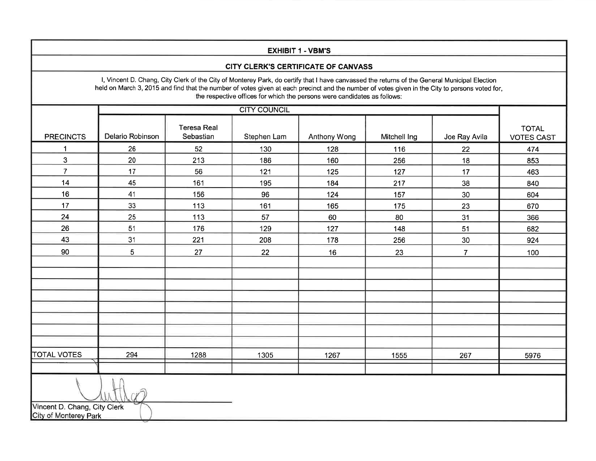| <b>EXHIBIT 1 - VBM'S</b>                              |                                                                                                                                                |                                 |             |                                                                                                                                                                                                                          |              |                |                                   |  |
|-------------------------------------------------------|------------------------------------------------------------------------------------------------------------------------------------------------|---------------------------------|-------------|--------------------------------------------------------------------------------------------------------------------------------------------------------------------------------------------------------------------------|--------------|----------------|-----------------------------------|--|
| CITY CLERK'S CERTIFICATE OF CANVASS                   |                                                                                                                                                |                                 |             |                                                                                                                                                                                                                          |              |                |                                   |  |
|                                                       | held on March 3, 2015 and find that the number of votes given at each precinct and the number of votes given in the City to persons voted for, |                                 |             | I, Vincent D. Chang, City Clerk of the City of Monterey Park, do certify that I have canvassed the returns of the General Municipal Election<br>the respective offices for which the persons were candidates as follows: |              |                |                                   |  |
|                                                       | <b>CITY COUNCIL</b>                                                                                                                            |                                 |             |                                                                                                                                                                                                                          |              |                |                                   |  |
| <b>PRECINCTS</b>                                      | Delario Robinson                                                                                                                               | <b>Teresa Real</b><br>Sebastian | Stephen Lam | Anthony Wong                                                                                                                                                                                                             | Mitchell Ing | Joe Ray Avila  | <b>TOTAL</b><br><b>VOTES CAST</b> |  |
| 1                                                     | 26                                                                                                                                             | 52                              | 130         | 128                                                                                                                                                                                                                      | 116          | 22             | 474                               |  |
| $\mathbf{3}$                                          | 20                                                                                                                                             | 213                             | 186         | 160                                                                                                                                                                                                                      | 256          | 18             | 853                               |  |
| $\overline{7}$                                        | 17                                                                                                                                             | 56                              | 121         | 125                                                                                                                                                                                                                      | 127          | 17             | 463                               |  |
| 14                                                    | 45                                                                                                                                             | 161                             | 195         | 184                                                                                                                                                                                                                      | 217          | 38             | 840                               |  |
| 16                                                    | 41                                                                                                                                             | 156                             | 96          | 124                                                                                                                                                                                                                      | 157          | 30             | 604                               |  |
| 17                                                    | 33                                                                                                                                             | 113                             | 161         | 165                                                                                                                                                                                                                      | 175          | 23             | 670                               |  |
| 24                                                    | 25                                                                                                                                             | 113                             | 57          | 60                                                                                                                                                                                                                       | 80           | 31             | 366                               |  |
| 26                                                    | 51                                                                                                                                             | 176                             | 129         | 127                                                                                                                                                                                                                      | 148          | 51             | 682                               |  |
| 43                                                    | 31                                                                                                                                             | 221                             | 208         | 178                                                                                                                                                                                                                      | 256          | 30             | 924                               |  |
| 90                                                    | 5                                                                                                                                              | 27                              | 22          | 16                                                                                                                                                                                                                       | 23           | $\overline{7}$ | 100                               |  |
|                                                       |                                                                                                                                                |                                 |             |                                                                                                                                                                                                                          |              |                |                                   |  |
|                                                       |                                                                                                                                                |                                 |             |                                                                                                                                                                                                                          |              |                |                                   |  |
|                                                       |                                                                                                                                                |                                 |             |                                                                                                                                                                                                                          |              |                |                                   |  |
|                                                       |                                                                                                                                                |                                 |             |                                                                                                                                                                                                                          |              |                |                                   |  |
|                                                       |                                                                                                                                                |                                 |             |                                                                                                                                                                                                                          |              |                |                                   |  |
|                                                       |                                                                                                                                                |                                 |             |                                                                                                                                                                                                                          |              |                |                                   |  |
|                                                       |                                                                                                                                                |                                 |             |                                                                                                                                                                                                                          |              |                |                                   |  |
| <b>TOTAL VOTES</b>                                    | 294                                                                                                                                            | 1288                            | 1305        | 1267                                                                                                                                                                                                                     | 1555         | 267            | 5976                              |  |
|                                                       |                                                                                                                                                |                                 |             |                                                                                                                                                                                                                          |              |                |                                   |  |
| Vincent D. Chang, City Clerk<br>City of Monterey Park |                                                                                                                                                |                                 |             |                                                                                                                                                                                                                          |              |                |                                   |  |